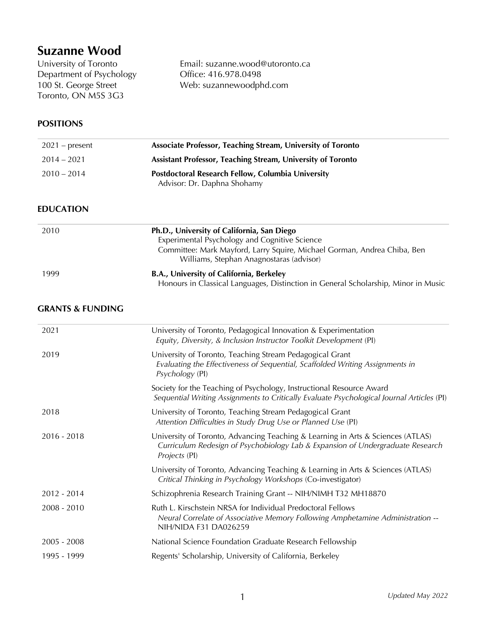# **Suzanne Wood**<br>University of Toronto

Department of Psychology<br>
100 St. George Street<br>
100 St. George Street<br>
200 St. George Street<br>
200 St. George Street<br>
200 St. George Street<br>
200 St. George Street<br>
200 St. George Street<br>
200 St. George Street<br>
200 St. Geor Toronto, ON M5S 3G3

Email: suzanne.wood@utoronto.ca Web: suzannewoodphd.com

# **POSITIONS**

| $2021$ – present | Associate Professor, Teaching Stream, University of Toronto                             |
|------------------|-----------------------------------------------------------------------------------------|
| $2014 - 2021$    | Assistant Professor, Teaching Stream, University of Toronto                             |
| $2010 - 2014$    | <b>Postdoctoral Research Fellow, Columbia University</b><br>Advisor: Dr. Daphna Shohamy |

# **EDUCATION**

| 2010 | Ph.D., University of California, San Diego                                         |
|------|------------------------------------------------------------------------------------|
|      | Experimental Psychology and Cognitive Science                                      |
|      | Committee: Mark Mayford, Larry Squire, Michael Gorman, Andrea Chiba, Ben           |
|      | Williams, Stephan Anagnostaras (advisor)                                           |
| 1999 | B.A., University of California, Berkeley                                           |
|      | Honours in Classical Languages, Distinction in General Scholarship, Minor in Music |

## **GRANTS & FUNDING**

| 2021          | University of Toronto, Pedagogical Innovation & Experimentation<br>Equity, Diversity, & Inclusion Instructor Toolkit Development (PI)                                              |
|---------------|------------------------------------------------------------------------------------------------------------------------------------------------------------------------------------|
| 2019          | University of Toronto, Teaching Stream Pedagogical Grant<br>Evaluating the Effectiveness of Sequential, Scaffolded Writing Assignments in<br>Psychology (PI)                       |
|               | Society for the Teaching of Psychology, Instructional Resource Award<br>Sequential Writing Assignments to Critically Evaluate Psychological Journal Articles (PI)                  |
| 2018          | University of Toronto, Teaching Stream Pedagogical Grant<br>Attention Difficulties in Study Drug Use or Planned Use (PI)                                                           |
| $2016 - 2018$ | University of Toronto, Advancing Teaching & Learning in Arts & Sciences (ATLAS)<br>Curriculum Redesign of Psychobiology Lab & Expansion of Undergraduate Research<br>Projects (PI) |
|               | University of Toronto, Advancing Teaching & Learning in Arts & Sciences (ATLAS)<br>Critical Thinking in Psychology Workshops (Co-investigator)                                     |
| $2012 - 2014$ | Schizophrenia Research Training Grant -- NIH/NIMH T32 MH18870                                                                                                                      |
| $2008 - 2010$ | Ruth L. Kirschstein NRSA for Individual Predoctoral Fellows<br>Neural Correlate of Associative Memory Following Amphetamine Administration --<br>NIH/NIDA F31 DA026259             |
| $2005 - 2008$ | National Science Foundation Graduate Research Fellowship                                                                                                                           |
| 1995 - 1999   | Regents' Scholarship, University of California, Berkeley                                                                                                                           |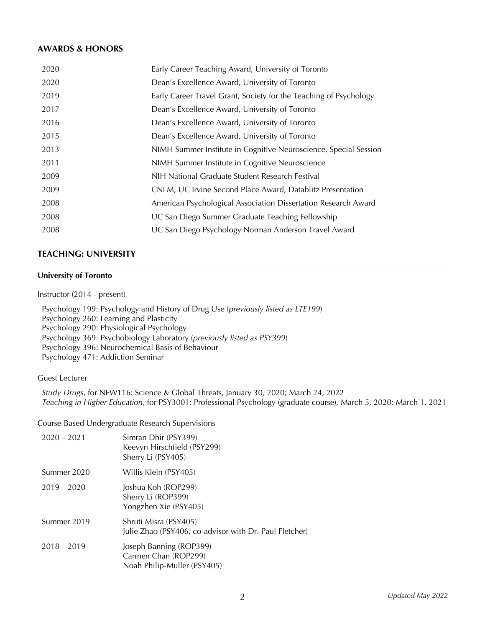# **AWARDS & HONORS**

| 2020 | Early Career Teaching Award, University of Toronto                |
|------|-------------------------------------------------------------------|
| 2020 | Dean's Excellence Award, University of Toronto                    |
| 2019 | Early Career Travel Grant, Society for the Teaching of Psychology |
| 2017 | Dean's Excellence Award, University of Toronto                    |
| 2016 | Dean's Excellence Award, University of Toronto                    |
| 2015 | Dean's Excellence Award, University of Toronto                    |
| 2013 | NIMH Summer Institute in Cognitive Neuroscience, Special Session  |
| 2011 | NIMH Summer Institute in Cognitive Neuroscience                   |
| 2009 | NIH National Graduate Student Research Festival                   |
| 2009 | CNLM, UC Irvine Second Place Award, Datablitz Presentation        |
| 2008 | American Psychological Association Dissertation Research Award    |
| 2008 | UC San Diego Summer Graduate Teaching Fellowship                  |
| 2008 | UC San Diego Psychology Norman Anderson Travel Award              |
|      |                                                                   |

# **TEACHING: UNIVERSITY**

### **University of Toronto**

Instructor (2014 - present)

 Psychology 199: Psychology and History of Drug Use (*previously listed as LTE199*) Psychology 260: Learning and Plasticity Psychology 290: Physiological Psychology Psychology 369: Psychobiology Laboratory (*previously listed as PSY399*) Psychology 396: Neurochemical Basis of Behaviour Psychology 471: Addiction Seminar

Guest Lecturer

 *Study Drugs*, for NEW116: Science & Global Threats, January 30, 2020; March 24, 2022  *Teaching in Higher Education*, for PSY3001: Professional Psychology (graduate course), March 5, 2020; March 1, 2021

Course-Based Undergraduate Research Supervisions

| $2020 - 2021$ | Simran Dhir (PSY399)<br>Keevyn Hirschfield (PSY299)<br>Sherry Li (PSY405)       |
|---------------|---------------------------------------------------------------------------------|
| Summer 2020   | Willis Klein (PSY405)                                                           |
| $2019 - 2020$ | Joshua Koh (ROP299)<br>Sherry Li (ROP399)<br>Yongzhen Xie (PSY405)              |
| Summer 2019   | Shruti Misra (PSY405)<br>Julie Zhao (PSY406, co-advisor with Dr. Paul Fletcher) |
| $2018 - 2019$ | Joseph Banning (ROP399)<br>Carmen Chan (ROP299)<br>Noah Philip-Muller (PSY405)  |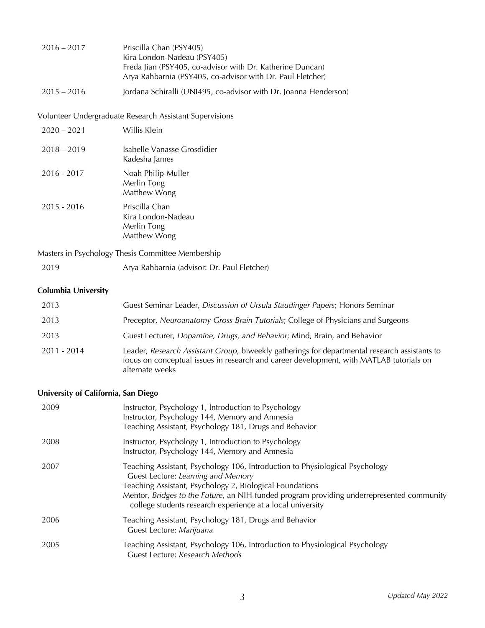| $2016 - 2017$ | Priscilla Chan (PSY405)                                    |
|---------------|------------------------------------------------------------|
|               | Kira London-Nadeau (PSY405)                                |
|               | Freda Jian (PSY405, co-advisor with Dr. Katherine Duncan)  |
|               | Arya Rahbarnia (PSY405, co-advisor with Dr. Paul Fletcher) |
|               |                                                            |

2015 – 2016 Jordana Schiralli (UNI495, co-advisor with Dr. Joanna Henderson)

Volunteer Undergraduate Research Assistant Supervisions

| $2020 - 2021$ | Willis Klein                                                        |
|---------------|---------------------------------------------------------------------|
| $2018 - 2019$ | Isabelle Vanasse Grosdidier<br>Kadesha James                        |
| $2016 - 2017$ | Noah Philip-Muller<br>Merlin Tong<br>Matthew Wong                   |
| $2015 - 2016$ | Priscilla Chan<br>Kira London-Nadeau<br>Merlin Tong<br>Matthew Wong |

Masters in Psychology Thesis Committee Membership

| 2019 | Arya Rahbarnia (advisor: Dr. Paul Fletcher) |  |  |
|------|---------------------------------------------|--|--|
|      |                                             |  |  |

# **Columbia University**

| 2013          | Guest Seminar Leader, Discussion of Ursula Staudinger Papers; Honors Seminar                                                                                                                                |
|---------------|-------------------------------------------------------------------------------------------------------------------------------------------------------------------------------------------------------------|
| 2013          | Preceptor, Neuroanatomy Gross Brain Tutorials; College of Physicians and Surgeons                                                                                                                           |
| 2013          | Guest Lecturer, Dopamine, Drugs, and Behavior; Mind, Brain, and Behavior                                                                                                                                    |
| $2011 - 2014$ | Leader, Research Assistant Group, biweekly gatherings for departmental research assistants to<br>focus on conceptual issues in research and career development, with MATLAB tutorials on<br>alternate weeks |

# **University of California, San Diego**

| 2009 | Instructor, Psychology 1, Introduction to Psychology<br>Instructor, Psychology 144, Memory and Amnesia<br>Teaching Assistant, Psychology 181, Drugs and Behavior                                                                                                                                                                          |
|------|-------------------------------------------------------------------------------------------------------------------------------------------------------------------------------------------------------------------------------------------------------------------------------------------------------------------------------------------|
| 2008 | Instructor, Psychology 1, Introduction to Psychology<br>Instructor, Psychology 144, Memory and Amnesia                                                                                                                                                                                                                                    |
| 2007 | Teaching Assistant, Psychology 106, Introduction to Physiological Psychology<br>Guest Lecture: Learning and Memory<br>Teaching Assistant, Psychology 2, Biological Foundations<br>Mentor, Bridges to the Future, an NIH-funded program providing underrepresented community<br>college students research experience at a local university |
| 2006 | Teaching Assistant, Psychology 181, Drugs and Behavior<br>Guest Lecture: Marijuana                                                                                                                                                                                                                                                        |
| 2005 | Teaching Assistant, Psychology 106, Introduction to Physiological Psychology<br>Guest Lecture: Research Methods                                                                                                                                                                                                                           |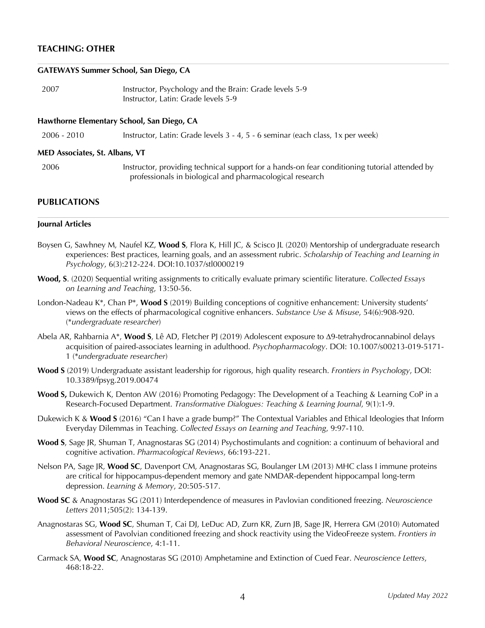# **TEACHING: OTHER**

#### **GATEWAYS Summer School, San Diego, CA**

| 2007 | Instructor, Psychology and the Brain: Grade levels 5-9 |
|------|--------------------------------------------------------|
|      | Instructor, Latin: Grade levels 5-9                    |

#### **Hawthorne Elementary School, San Diego, CA**

2006 - 2010 Instructor, Latin: Grade levels 3 - 4, 5 - 6 seminar (each class, 1x per week)

#### **MED Associates, St. Albans, VT**

 2006 Instructor, providing technical support for a hands-on fear conditioning tutorial attended by professionals in biological and pharmacological research

# **PUBLICATIONS**

#### **Journal Articles**

- Boysen G, Sawhney M, Naufel KZ, **Wood S**, Flora K, Hill JC, & Scisco JL (2020) Mentorship of undergraduate research experiences: Best practices, learning goals, and an assessment rubric. *Scholarship of Teaching and Learning in Psychology*, 6(3):212-224. DOI:10.1037/stl0000219
- **Wood, S**. (2020) Sequential writing assignments to critically evaluate primary scientific literature. *Collected Essays on Learning and Teaching*, 13:50-56.
- London-Nadeau K\*, Chan P\*, **Wood S** (2019) Building conceptions of cognitive enhancement: University students' views on the effects of pharmacological cognitive enhancers. *Substance Use & Misuse*, 54(6):908-920. (\**undergraduate researcher*)
- Abela AR, Rahbarnia A\*, Wood S, Lê AD, Fletcher PJ (2019) Adolescent exposure to  $\Delta$ 9-tetrahydrocannabinol delays acquisition of paired-associates learning in adulthood. *Psychopharmacology*. DOI: 10.1007/s00213-019-5171- 1 (\**undergraduate researcher*)
- **Wood S** (2019) Undergraduate assistant leadership for rigorous, high quality research. *Frontiers in Psychology*, DOI: 10.3389/fpsyg.2019.00474
- **Wood S,** Dukewich K, Denton AW (2016) Promoting Pedagogy: The Development of a Teaching & Learning CoP in a Research-Focused Department. *Transformative Dialogues: Teaching & Learning Journal*, 9(1):1-9.
- Dukewich K & **Wood S** (2016) "Can I have a grade bump?" The Contextual Variables and Ethical Ideologies that Inform Everyday Dilemmas in Teaching. *Collected Essays on Learning and Teaching*, 9:97-110.
- **Wood S**, Sage JR, Shuman T, Anagnostaras SG (2014) Psychostimulants and cognition: a continuum of behavioral and cognitive activation. *Pharmacological Reviews*, 66:193-221.
- Nelson PA, Sage JR, **Wood SC**, Davenport CM, Anagnostaras SG, Boulanger LM (2013) MHC class I immune proteins are critical for hippocampus-dependent memory and gate NMDAR-dependent hippocampal long-term depression. *Learning & Memory*, 20:505-517.
- **Wood SC** & Anagnostaras SG (2011) Interdependence of measures in Pavlovian conditioned freezing. *Neuroscience Letters* 2011;505(2): 134-139.
- Anagnostaras SG, **Wood SC**, Shuman T, Cai DJ, LeDuc AD, Zurn KR, Zurn JB, Sage JR, Herrera GM (2010) Automated assessment of Pavolvian conditioned freezing and shock reactivity using the VideoFreeze system. *Frontiers in Behavioral Neuroscience*, 4:1-11.
- Carmack SA, **Wood SC**, Anagnostaras SG (2010) Amphetamine and Extinction of Cued Fear. *Neuroscience Letters*, 468:18-22.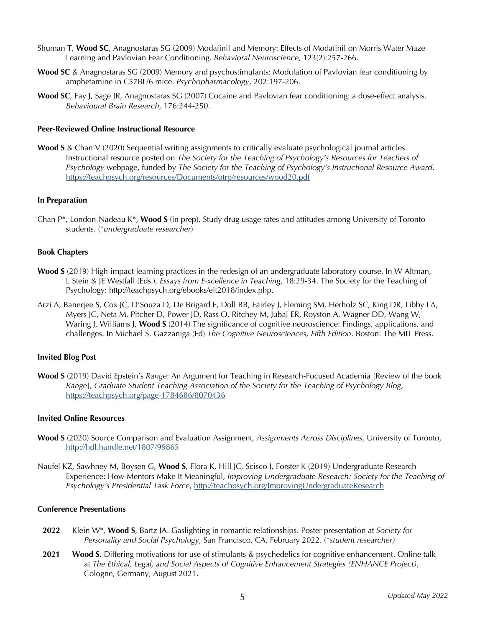- Shuman T, **Wood SC**, Anagnostaras SG (2009) Modafinil and Memory: Effects of Modafinil on Morris Water Maze Learning and Pavlovian Fear Conditioning. *Behavioral Neuroscience*, 123(2):257-266.
- **Wood SC** & Anagnostaras SG (2009) Memory and psychostimulants: Modulation of Pavlovian fear conditioning by amphetamine in C57BL/6 mice. *Psychopharmacology*, 202:197-206.
- **Wood SC**, Fay J, Sage JR, Anagnostaras SG (2007) Cocaine and Pavlovian fear conditioning: a dose-effect analysis. *Behavioural Brain Research*, 176:244-250.

#### **Peer-Reviewed Online Instructional Resource**

**Wood S** & Chan V (2020) Sequential writing assignments to critically evaluate psychological journal articles. Instructional resource posted on *The Society for the Teaching of Psychology's Resources for Teachers of Psychology* webpage, funded by *The Society for the Teaching of Psychology's Instructional Resource Award*, https://teachpsych.org/resources/Documents/otrp/resources/wood20.pdf

#### **In Preparation**

Chan P\*, London-Nadeau K\*, **Wood S** (in prep). Study drug usage rates and attitudes among University of Toronto students. (\**undergraduate researcher*)

#### **Book Chapters**

- **Wood S** (2019) High-impact learning practices in the redesign of an undergraduate laboratory course. In W Altman, L Stein & JE Westfall (Eds.), *Essays from E-xcellence in Teaching*, 18:29-34. The Society for the Teaching of Psychology: http://teachpsych.org/ebooks/eit2018/index.php.
- Arzi A, Banerjee S, Cox JC, D'Souza D, De Brigard F, Doll BB, Fairley J, Fleming SM, Herholz SC, King DR, Libby LA, Myers JC, Neta M, Pitcher D, Power JD, Rass O, Ritchey M, Jubal ER, Royston A, Wagner DD, Wang W, Waring J, Williams J, **Wood S** (2014) The significance of cognitive neuroscience: Findings, applications, and challenges. In Michael S. Gazzaniga (Ed) *The Cognitive Neurosciences, Fifth Edition*. Boston: The MIT Press.

#### **Invited Blog Post**

**Wood S** (2019) David Epstein's *Range*: An Argument for Teaching in Research-Focused Academia [Review of the book *Range*], *Graduate Student Teaching Association of the Society for the Teaching of Psychology Blog*, https://teachpsych.org/page-1784686/8070436

#### **Invited Online Resources**

- **Wood S** (2020) Source Comparison and Evaluation Assignment, *Assignments Across Disciplines*, University of Toronto, http://hdl.handle.net/1807/99865
- Naufel KZ, Sawhney M, Boysen G, **Wood S**, Flora K, Hill JC, Scisco J, Forster K (2019) Undergraduate Research Experience: How Mentors Make It Meaningful, *Improving Undergraduate Research: Society for the Teaching of Psychology's Presidential Task Force*, http://teachpsych.org/ImprovingUndergraduateResearch

#### **Conference Presentations**

- **2022** Klein W\*, **Wood S**, Bartz JA. Gaslighting in romantic relationships. Poster presentation at *Society for Personality and Social Psychology*, San Francisco, CA, February 2022. (\**student researcher)*
- **2021 Wood S.** Differing motivations for use of stimulants & psychedelics for cognitive enhancement. Online talk at *The Ethical, Legal, and Social Aspects of Cognitive Enhancement Strategies (ENHANCE Project)*, Cologne, Germany, August 2021.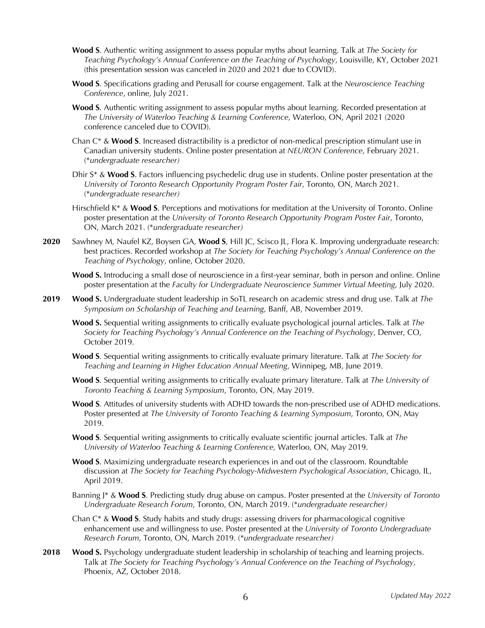- **Wood S**. Authentic writing assignment to assess popular myths about learning. Talk at *The Society for Teaching Psychology's Annual Conference on the Teaching of Psychology*, Louisville, KY, October 2021 (this presentation session was canceled in 2020 and 2021 due to COVID).
- **Wood S**. Specifications grading and Perusall for course engagement. Talk at the *Neuroscience Teaching Conference*, online, July 2021.
- **Wood S**. Authentic writing assignment to assess popular myths about learning. Recorded presentation at *The University of Waterloo Teaching & Learning Conference,* Waterloo, ON, April 2021 (2020 conference canceled due to COVID).
- Chan C\* & **Wood S**. Increased distractibility is a predictor of non-medical prescription stimulant use in Canadian university students. Online poster presentation at *NEURON Conference*, February 2021. (\**undergraduate researcher)*
- Dhir S\* & **Wood S**. Factors influencing psychedelic drug use in students. Online poster presentation at the *University of Toronto Research Opportunity Program Poster Fair*, Toronto, ON, March 2021. (\**undergraduate researcher)*
- Hirschfield K\* & **Wood S**. Perceptions and motivations for meditation at the University of Toronto. Online poster presentation at the *University of Toronto Research Opportunity Program Poster Fair*, Toronto, ON, March 2021. (\**undergraduate researcher)*
- **2020** Sawhney M, Naufel KZ, Boysen GA, **Wood S**, Hill JC, Scisco JL, Flora K. Improving undergraduate research: best practices. Recorded workshop at *The Society for Teaching Psychology's Annual Conference on the Teaching of Psychology*, online, October 2020.
	- **Wood S.** Introducing a small dose of neuroscience in a first-year seminar, both in person and online. Online poster presentation at the *Faculty for Undergraduate Neuroscience Summer Virtual Meeting*, July 2020.
- **2019 Wood S.** Undergraduate student leadership in SoTL research on academic stress and drug use. Talk at *The Symposium on Scholarship of Teaching and Learning*, Banff, AB, November 2019.
	- **Wood S.** Sequential writing assignments to critically evaluate psychological journal articles. Talk at *The Society for Teaching Psychology's Annual Conference on the Teaching of Psychology*, Denver, CO, October 2019.
	- **Wood S**. Sequential writing assignments to critically evaluate primary literature. Talk at *The Society for Teaching and Learning in Higher Education Annual Meeting*, Winnipeg, MB, June 2019.
	- **Wood S**. Sequential writing assignments to critically evaluate primary literature. Talk at *The University of Toronto Teaching & Learning Symposium*, Toronto, ON, May 2019.
	- **Wood S**. Attitudes of university students with ADHD towards the non-prescribed use of ADHD medications. Poster presented at *The University of Toronto Teaching & Learning Symposium*, Toronto, ON, May 2019.
	- **Wood S**. Sequential writing assignments to critically evaluate scientific journal articles. Talk at *The University of Waterloo Teaching & Learning Conference,* Waterloo, ON, May 2019.
	- **Wood S**. Maximizing undergraduate research experiences in and out of the classroom. Roundtable discussion at *The Society for Teaching Psychology-Midwestern Psychological Association*, Chicago, IL, April 2019.
	- Banning J\* & **Wood S**. Predicting study drug abuse on campus. Poster presented at the *University of Toronto Undergraduate Research Forum*, Toronto, ON, March 2019. (\**undergraduate researcher)*
	- Chan C\* & **Wood S**. Study habits and study drugs: assessing drivers for pharmacological cognitive enhancement use and willingness to use. Poster presented at the *University of Toronto Undergraduate Research Forum*, Toronto, ON, March 2019. (\**undergraduate researcher)*
- **2018 Wood S.** Psychology undergraduate student leadership in scholarship of teaching and learning projects. Talk at *The Society for Teaching Psychology's Annual Conference on the Teaching of Psychology*, Phoenix, AZ, October 2018.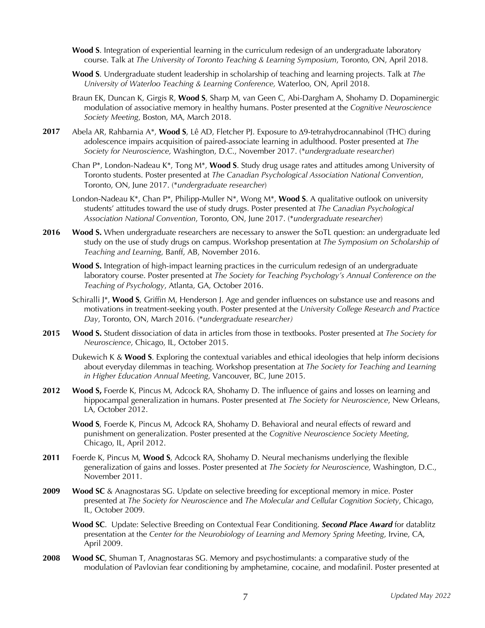- **Wood S**. Integration of experiential learning in the curriculum redesign of an undergraduate laboratory course. Talk at *The University of Toronto Teaching & Learning Symposium*, Toronto, ON, April 2018.
- **Wood S**. Undergraduate student leadership in scholarship of teaching and learning projects. Talk at *The University of Waterloo Teaching & Learning Conference,* Waterloo, ON, April 2018.
- Braun EK, Duncan K, Girgis R, **Wood S**, Sharp M, van Geen C, Abi-Dargham A, Shohamy D. Dopaminergic modulation of associative memory in healthy humans. Poster presented at the *Cognitive Neuroscience Society Meeting*, Boston, MA, March 2018.
- **2017** Abela AR, Rahbarnia A\*, **Wood S**, Lê AD, Fletcher PJ. Exposure to Δ9-tetrahydrocannabinol (THC) during adolescence impairs acquisition of paired-associate learning in adulthood. Poster presented at *The Society for Neuroscience,* Washington, D.C., November 2017. (\**undergraduate researcher*)
	- Chan P\*, London-Nadeau K\*, Tong M\*, **Wood S**. Study drug usage rates and attitudes among University of Toronto students. Poster presented at *The Canadian Psychological Association National Convention*, Toronto, ON, June 2017. (\**undergraduate researcher*)
	- London-Nadeau K\*, Chan P\*, Philipp-Muller N\*, Wong M\*, **Wood S**. A qualitative outlook on university students' attitudes toward the use of study drugs. Poster presented at *The Canadian Psychological Association National Convention*, Toronto, ON, June 2017. (\**undergraduate researcher*)
- **2016 Wood S.** When undergraduate researchers are necessary to answer the SoTL question: an undergraduate led study on the use of study drugs on campus. Workshop presentation at *The Symposium on Scholarship of Teaching and Learning*, Banff, AB, November 2016.
	- **Wood S.** Integration of high-impact learning practices in the curriculum redesign of an undergraduate laboratory course. Poster presented at *The Society for Teaching Psychology's Annual Conference on the Teaching of Psychology*, Atlanta, GA, October 2016.
	- Schiralli J\*, **Wood S**, Griffin M, Henderson J. Age and gender influences on substance use and reasons and motivations in treatment-seeking youth. Poster presented at the *University College Research and Practice Day*, Toronto, ON, March 2016. (\**undergraduate researcher)*
- **2015 Wood S.** Student dissociation of data in articles from those in textbooks. Poster presented at *The Society for Neuroscience*, Chicago, IL, October 2015.
	- Dukewich K & **Wood S**. Exploring the contextual variables and ethical ideologies that help inform decisions about everyday dilemmas in teaching. Workshop presentation at *The Society for Teaching and Learning in Higher Education Annual Meeting*, Vancouver, BC, June 2015.
- **2012 Wood S,** Foerde K, Pincus M, Adcock RA, Shohamy D. The influence of gains and losses on learning and hippocampal generalization in humans. Poster presented at *The Society for Neuroscience*, New Orleans, LA, October 2012.
	- **Wood S**, Foerde K, Pincus M, Adcock RA, Shohamy D. Behavioral and neural effects of reward and punishment on generalization. Poster presented at the *Cognitive Neuroscience Society Meeting*, Chicago, IL, April 2012.
- **2011** Foerde K, Pincus M, **Wood S**, Adcock RA, Shohamy D. Neural mechanisms underlying the flexible generalization of gains and losses. Poster presented at *The Society for Neuroscience,* Washington, D.C., November 2011.
- **2009 Wood SC** & Anagnostaras SG. Update on selective breeding for exceptional memory in mice. Poster presented at *The Society for Neuroscience* and *The Molecular and Cellular Cognition Society*, Chicago, IL, October 2009.
	- **Wood SC**. Update: Selective Breeding on Contextual Fear Conditioning. *Second Place Award* for datablitz presentation at the *Center for the Neurobiology of Learning and Memory Spring Meeting*, Irvine, CA, April 2009.
- **2008 Wood SC**, Shuman T, Anagnostaras SG. Memory and psychostimulants: a comparative study of the modulation of Pavlovian fear conditioning by amphetamine, cocaine, and modafinil. Poster presented at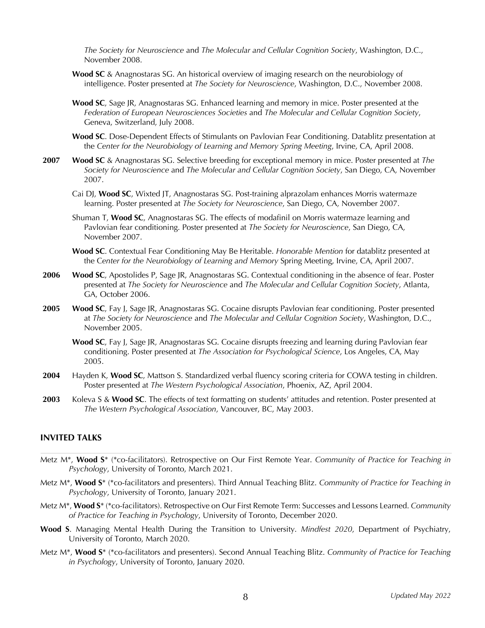*The Society for Neuroscience* and *The Molecular and Cellular Cognition Society*, Washington, D.C., November 2008.

- **Wood SC** & Anagnostaras SG. An historical overview of imaging research on the neurobiology of intelligence. Poster presented at *The Society for Neuroscience*, Washington, D.C., November 2008.
- **Wood SC**, Sage JR, Anagnostaras SG. Enhanced learning and memory in mice. Poster presented at the *Federation of European Neurosciences Societies* and *The Molecular and Cellular Cognition Society*, Geneva, Switzerland, July 2008.

**Wood SC**. Dose-Dependent Effects of Stimulants on Pavlovian Fear Conditioning. Datablitz presentation at the *Center for the Neurobiology of Learning and Memory Spring Meeting*, Irvine, CA, April 2008.

- **2007 Wood SC** & Anagnostaras SG. Selective breeding for exceptional memory in mice. Poster presented at *The Society for Neuroscience* and *The Molecular and Cellular Cognition Society*, San Diego, CA, November 2007.
	- Cai DJ, **Wood SC**, Wixted JT, Anagnostaras SG. Post-training alprazolam enhances Morris watermaze learning. Poster presented at *The Society for Neuroscience*, San Diego, CA, November 2007.
	- Shuman T, **Wood SC**, Anagnostaras SG. The effects of modafinil on Morris watermaze learning and Pavlovian fear conditioning. Poster presented at *The Society for Neuroscience*, San Diego, CA, November 2007.
	- **Wood SC**. Contextual Fear Conditioning May Be Heritable. *Honorable Mention* for datablitz presented at the C*enter for the Neurobiology of Learning and Memory* Spring Meeting, Irvine, CA, April 2007.
- **2006 Wood SC**, Apostolides P, Sage JR, Anagnostaras SG. Contextual conditioning in the absence of fear. Poster presented at *The Society for Neuroscience* and *The Molecular and Cellular Cognition Society*, Atlanta, GA, October 2006.
- **2005 Wood SC**, Fay J, Sage JR, Anagnostaras SG. Cocaine disrupts Pavlovian fear conditioning. Poster presented at *The Society for Neuroscience* and *The Molecular and Cellular Cognition Society*, Washington, D.C., November 2005.
	- **Wood SC**, Fay J, Sage JR, Anagnostaras SG. Cocaine disrupts freezing and learning during Pavlovian fear conditioning. Poster presented at *The Association for Psychological Science*, Los Angeles, CA, May 2005.
- **2004** Hayden K, **Wood SC**, Mattson S. Standardized verbal fluency scoring criteria for COWA testing in children. Poster presented at *The Western Psychological Association*, Phoenix, AZ, April 2004.
- **2003** Koleva S & **Wood SC**. The effects of text formatting on students' attitudes and retention. Poster presented at *The Western Psychological Association*, Vancouver, BC, May 2003.

#### **INVITED TALKS**

- Metz M\*, **Wood S**\* (\*co-facilitators). Retrospective on Our First Remote Year. *Community of Practice for Teaching in Psychology*, University of Toronto, March 2021.
- Metz M\*, **Wood S**\* (\*co-facilitators and presenters). Third Annual Teaching Blitz. *Community of Practice for Teaching in Psychology*, University of Toronto, January 2021.
- Metz M\*, **Wood S**\* (\*co-facilitators). Retrospective on Our First Remote Term: Successes and Lessons Learned. *Community of Practice for Teaching in Psychology*, University of Toronto, December 2020.
- **Wood S**. Managing Mental Health During the Transition to University. *Mindfest 2020*, Department of Psychiatry, University of Toronto, March 2020.
- Metz M\*, **Wood S**\* (\*co-facilitators and presenters). Second Annual Teaching Blitz. *Community of Practice for Teaching in Psychology*, University of Toronto, January 2020.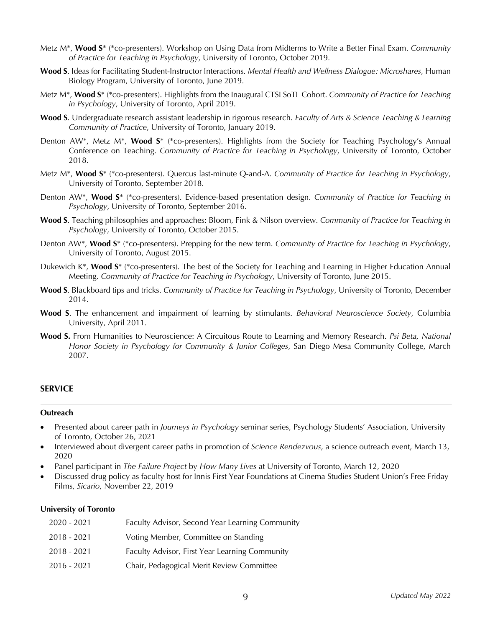- Metz M\*, **Wood S**\* (\*co-presenters). Workshop on Using Data from Midterms to Write a Better Final Exam. *Community of Practice for Teaching in Psychology*, University of Toronto, October 2019.
- **Wood S**. Ideas for Facilitating Student-Instructor Interactions. *Mental Health and Wellness Dialogue: Microshares*, Human Biology Program, University of Toronto, June 2019.
- Metz M\*, **Wood S**\* (\*co-presenters). Highlights from the Inaugural CTSI SoTL Cohort. *Community of Practice for Teaching in Psychology*, University of Toronto, April 2019.
- **Wood S**. Undergraduate research assistant leadership in rigorous research. *Faculty of Arts & Science Teaching & Learning Community of Practice*, University of Toronto, January 2019.
- Denton AW\*, Metz M\*, **Wood S**\* (\*co-presenters). Highlights from the Society for Teaching Psychology's Annual Conference on Teaching. *Community of Practice for Teaching in Psychology*, University of Toronto, October 2018.
- Metz M\*, **Wood S**\* (\*co-presenters). Quercus last-minute Q-and-A. *Community of Practice for Teaching in Psychology*, University of Toronto, September 2018.
- Denton AW\*, **Wood S**\* (\*co-presenters). Evidence-based presentation design. *Community of Practice for Teaching in Psychology*, University of Toronto, September 2016.
- **Wood S**. Teaching philosophies and approaches: Bloom, Fink & Nilson overview. *Community of Practice for Teaching in Psychology*, University of Toronto, October 2015.
- Denton AW\*, **Wood S**\* (\*co-presenters). Prepping for the new term. *Community of Practice for Teaching in Psychology*, University of Toronto, August 2015.
- Dukewich K\*, **Wood S**\* (\*co-presenters). The best of the Society for Teaching and Learning in Higher Education Annual Meeting. *Community of Practice for Teaching in Psychology*, University of Toronto, June 2015.
- **Wood S**. Blackboard tips and tricks. *Community of Practice for Teaching in Psychology*, University of Toronto, December 2014.
- **Wood S**. The enhancement and impairment of learning by stimulants. *Behavioral Neuroscience Society*, Columbia University, April 2011.
- **Wood S.** From Humanities to Neuroscience: A Circuitous Route to Learning and Memory Research. *Psi Beta, National Honor Society in Psychology for Community & Junior Colleges,* San Diego Mesa Community College, March 2007.

# **SERVICE**

#### **Outreach**

- Presented about career path in *Journeys in Psychology* seminar series, Psychology Students' Association, University of Toronto, October 26, 2021
- Interviewed about divergent career paths in promotion of *Science Rendezvous*, a science outreach event, March 13, 2020
- Panel participant in *The Failure Project* by *How Many Lives* at University of Toronto, March 12, 2020
- Discussed drug policy as faculty host for Innis First Year Foundations at Cinema Studies Student Union's Free Friday Films, *Sicario*, November 22, 2019

#### **University of Toronto**

| $2020 - 2021$ | Faculty Advisor, Second Year Learning Community |
|---------------|-------------------------------------------------|
| $2018 - 2021$ | Voting Member, Committee on Standing            |
| $2018 - 2021$ | Faculty Advisor, First Year Learning Community  |
| $2016 - 2021$ | Chair, Pedagogical Merit Review Committee       |